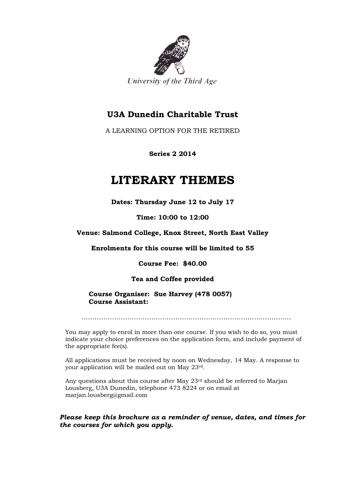

### **U3A Dunedin Charitable Trust**

A LEARNING OPTION FOR THE RETIRED

**Series 2 2014**

## **LITERARY THEMES**

**Dates: Thursday June 12 to July 17**

**Time: 10:00 to 12:00**

**Venue: Salmond College, Knox Street, North East Valley**

**Enrolments for this course will be limited to 55**

**Course Fee: \$40.00**

**Tea and Coffee provided**

**Course Organiser: Sue Harvey (478 0057) Course Assistant:** 

……………………………………………………………………………………

You may apply to enrol in more than one course. If you wish to do so, you must indicate your choice preferences on the application form, and include payment of the appropriate fee(s).

All applications must be received by noon on Wednesday, 14 May. A response to your application will be mailed out on May 23rd.

Any questions about this course after May 23<sup>rd</sup> should be referred to Marjan Lousberg, U3A Dunedin, telephone 473 8224 or on email at marjan.lousberg@gmail.com

*Please keep this brochure as a reminder of venue, dates, and times for the courses for which you apply.*